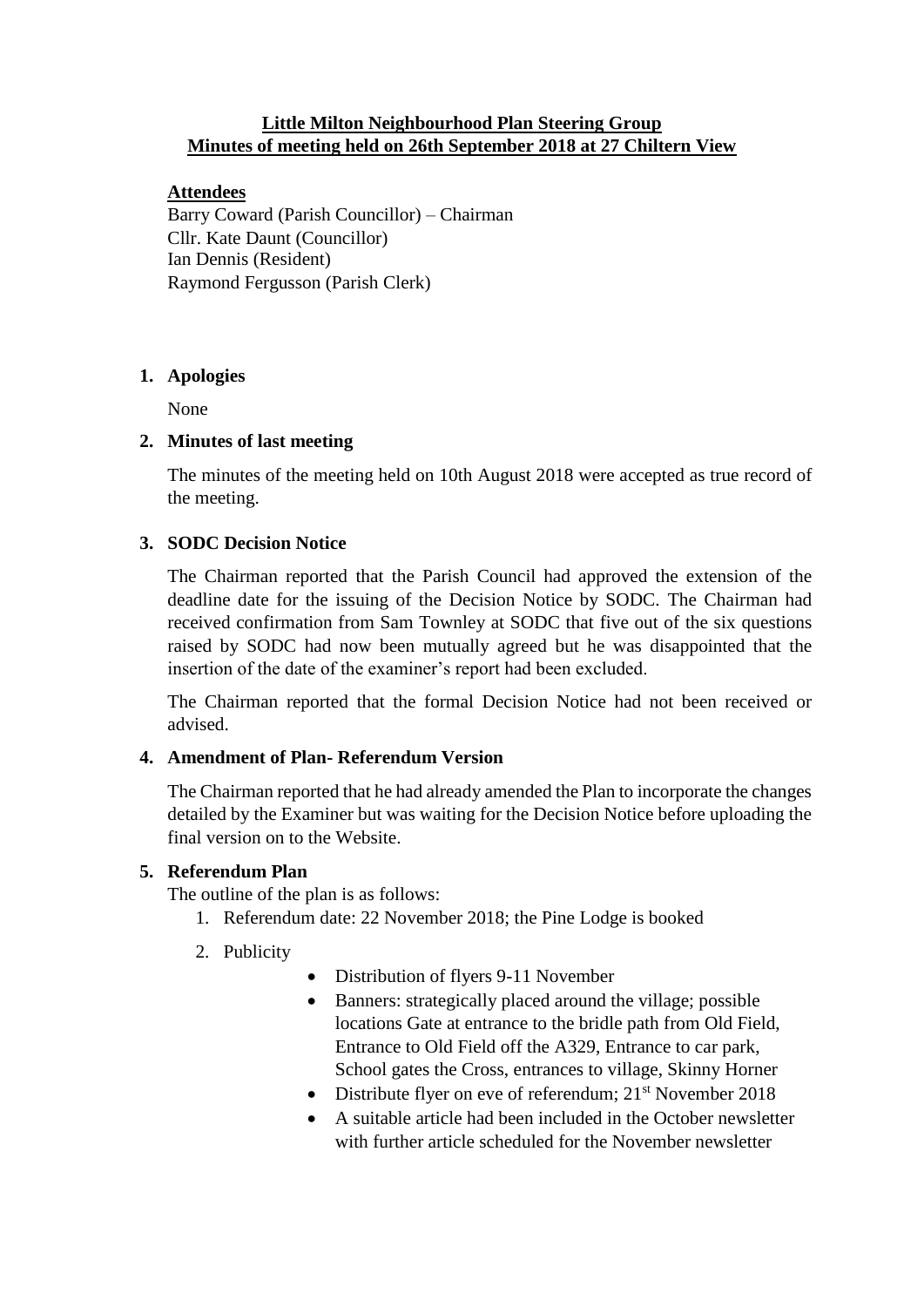# **Little Milton Neighbourhood Plan Steering Group Minutes of meeting held on 26th September 2018 at 27 Chiltern View**

### **Attendees**

Barry Coward (Parish Councillor) – Chairman Cllr. Kate Daunt (Councillor) Ian Dennis (Resident) Raymond Fergusson (Parish Clerk)

### **1. Apologies**

None

### **2. Minutes of last meeting**

The minutes of the meeting held on 10th August 2018 were accepted as true record of the meeting.

# **3. SODC Decision Notice**

The Chairman reported that the Parish Council had approved the extension of the deadline date for the issuing of the Decision Notice by SODC. The Chairman had received confirmation from Sam Townley at SODC that five out of the six questions raised by SODC had now been mutually agreed but he was disappointed that the insertion of the date of the examiner's report had been excluded.

The Chairman reported that the formal Decision Notice had not been received or advised.

# **4. Amendment of Plan- Referendum Version**

The Chairman reported that he had already amended the Plan to incorporate the changes detailed by the Examiner but was waiting for the Decision Notice before uploading the final version on to the Website.

# **5. Referendum Plan**

The outline of the plan is as follows:

- 1. Referendum date: 22 November 2018; the Pine Lodge is booked
- 2. Publicity
- Distribution of flyers 9-11 November
- Banners: strategically placed around the village; possible locations Gate at entrance to the bridle path from Old Field, Entrance to Old Field off the A329, Entrance to car park, School gates the Cross, entrances to village, Skinny Horner
- Distribute flyer on eve of referendum:  $21<sup>st</sup>$  November 2018
- A suitable article had been included in the October newsletter with further article scheduled for the November newsletter